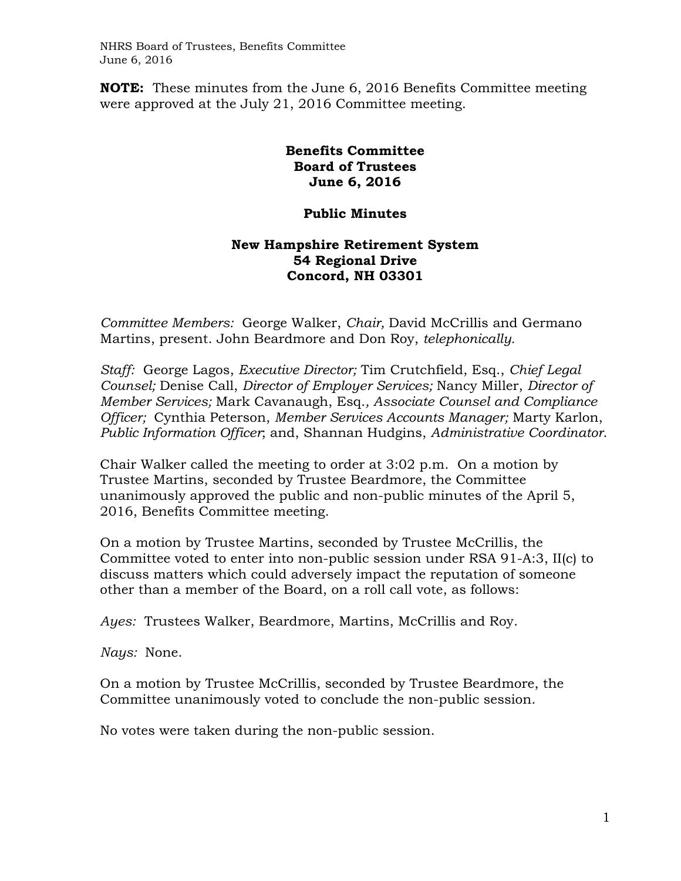NHRS Board of Trustees, Benefits Committee June 6, 2016

**NOTE:** These minutes from the June 6, 2016 Benefits Committee meeting were approved at the July 21, 2016 Committee meeting.

## **Benefits Committee Board of Trustees June 6, 2016**

## **Public Minutes**

## **New Hampshire Retirement System 54 Regional Drive Concord, NH 03301**

*Committee Members:* George Walker, *Chair,* David McCrillis and Germano Martins, present. John Beardmore and Don Roy, *telephonically.*

*Staff:* George Lagos, *Executive Director;* Tim Crutchfield, Esq., *Chief Legal Counsel;* Denise Call, *Director of Employer Services;* Nancy Miller, *Director of Member Services;* Mark Cavanaugh, Esq.*, Associate Counsel and Compliance Officer;* Cynthia Peterson, *Member Services Accounts Manager;* Marty Karlon, *Public Information Officer*; and, Shannan Hudgins, *Administrative Coordinator*.

Chair Walker called the meeting to order at 3:02 p.m. On a motion by Trustee Martins, seconded by Trustee Beardmore, the Committee unanimously approved the public and non-public minutes of the April 5, 2016, Benefits Committee meeting.

On a motion by Trustee Martins, seconded by Trustee McCrillis, the Committee voted to enter into non-public session under RSA 91-A:3, II(c) to discuss matters which could adversely impact the reputation of someone other than a member of the Board, on a roll call vote, as follows:

*Ayes:* Trustees Walker, Beardmore, Martins, McCrillis and Roy.

*Nays:* None.

On a motion by Trustee McCrillis, seconded by Trustee Beardmore, the Committee unanimously voted to conclude the non-public session.

No votes were taken during the non-public session.